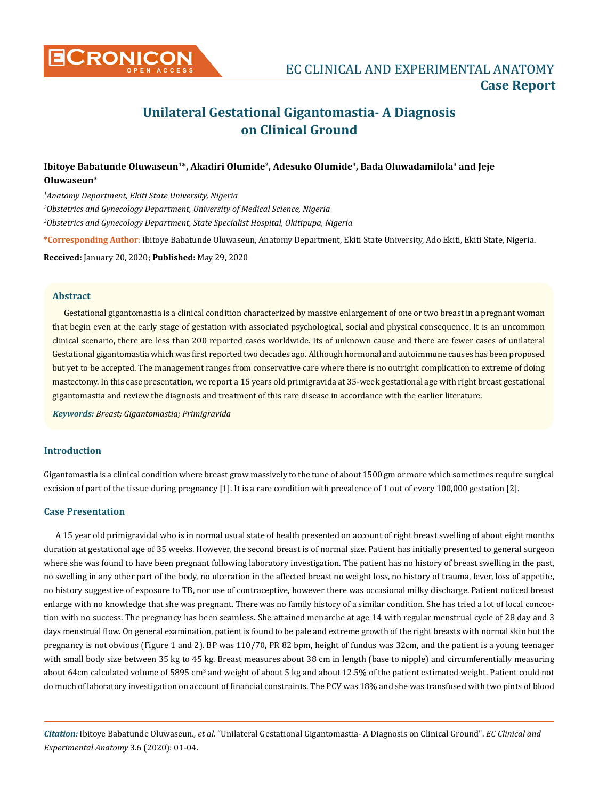

**Case Report**

# **Unilateral Gestational Gigantomastia- A Diagnosis on Clinical Ground**

## Ibitoye Babatunde Oluwaseun<sup>1\*</sup>, Akadiri Olumide<sup>2</sup>, Adesuko Olumide<sup>3</sup>, Bada Oluwadamilola<sup>3</sup> and Jeje **Oluwaseun3**

*1 Anatomy Department, Ekiti State University, Nigeria 2 Obstetrics and Gynecology Department, University of Medical Science, Nigeria 3 Obstetrics and Gynecology Department, State Specialist Hospital, Okitipupa, Nigeria*

**\*Corresponding Author**: Ibitoye Babatunde Oluwaseun, Anatomy Department, Ekiti State University, Ado Ekiti, Ekiti State, Nigeria.

**Received:** January 20, 2020; **Published:** May 29, 2020

#### **Abstract**

Gestational gigantomastia is a clinical condition characterized by massive enlargement of one or two breast in a pregnant woman that begin even at the early stage of gestation with associated psychological, social and physical consequence. It is an uncommon clinical scenario, there are less than 200 reported cases worldwide. Its of unknown cause and there are fewer cases of unilateral Gestational gigantomastia which was first reported two decades ago. Although hormonal and autoimmune causes has been proposed but yet to be accepted. The management ranges from conservative care where there is no outright complication to extreme of doing mastectomy. In this case presentation, we report a 15 years old primigravida at 35-week gestational age with right breast gestational gigantomastia and review the diagnosis and treatment of this rare disease in accordance with the earlier literature.

*Keywords: Breast; Gigantomastia; Primigravida*

## **Introduction**

Gigantomastia is a clinical condition where breast grow massively to the tune of about 1500 gm or more which sometimes require surgical excision of part of the tissue during pregnancy [1]. It is a rare condition with prevalence of 1 out of every 100,000 gestation [2].

#### **Case Presentation**

A 15 year old primigravidal who is in normal usual state of health presented on account of right breast swelling of about eight months duration at gestational age of 35 weeks. However, the second breast is of normal size. Patient has initially presented to general surgeon where she was found to have been pregnant following laboratory investigation. The patient has no history of breast swelling in the past, no swelling in any other part of the body, no ulceration in the affected breast no weight loss, no history of trauma, fever, loss of appetite, no history suggestive of exposure to TB, nor use of contraceptive, however there was occasional milky discharge. Patient noticed breast enlarge with no knowledge that she was pregnant. There was no family history of a similar condition. She has tried a lot of local concoction with no success. The pregnancy has been seamless. She attained menarche at age 14 with regular menstrual cycle of 28 day and 3 days menstrual flow. On general examination, patient is found to be pale and extreme growth of the right breasts with normal skin but the pregnancy is not obvious (Figure 1 and 2). BP was 110/70, PR 82 bpm, height of fundus was 32cm, and the patient is a young teenager with small body size between 35 kg to 45 kg. Breast measures about 38 cm in length (base to nipple) and circumferentially measuring about 64 $\rm cm$  calculated volume of 5895  $\rm cm^3$  and weight of about 5 kg and about 12.5% of the patient estimated weight. Patient could not do much of laboratory investigation on account of financial constraints. The PCV was 18% and she was transfused with two pints of blood

*Citation:* Ibitoye Babatunde Oluwaseun*., et al.* "Unilateral Gestational Gigantomastia- A Diagnosis on Clinical Ground". *EC Clinical and Experimental Anatomy* 3.6 (2020): 01-04.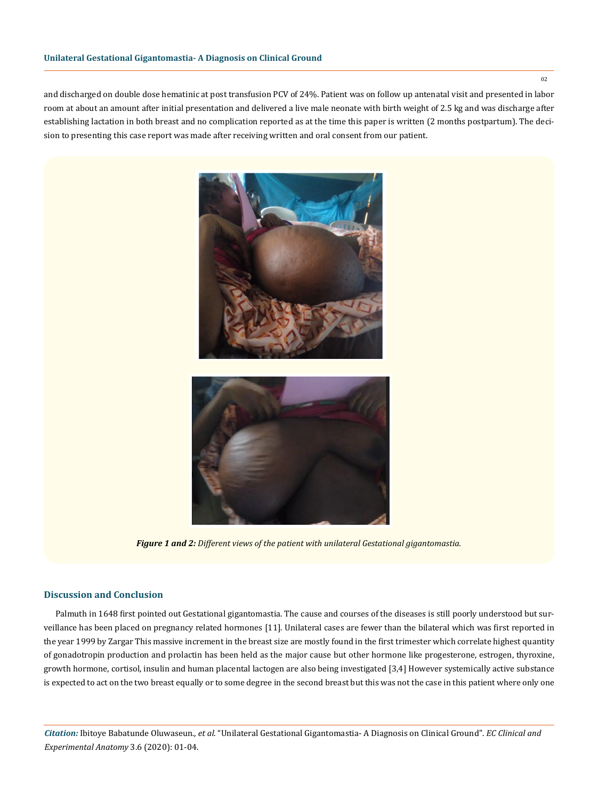and discharged on double dose hematinic at post transfusion PCV of 24%. Patient was on follow up antenatal visit and presented in labor room at about an amount after initial presentation and delivered a live male neonate with birth weight of 2.5 kg and was discharge after establishing lactation in both breast and no complication reported as at the time this paper is written (2 months postpartum). The decision to presenting this case report was made after receiving written and oral consent from our patient.





*Figure 1 and 2: Different views of the patient with unilateral Gestational gigantomastia.*

### **Discussion and Conclusion**

Palmuth in 1648 first pointed out Gestational gigantomastia. The cause and courses of the diseases is still poorly understood but surveillance has been placed on pregnancy related hormones [11]. Unilateral cases are fewer than the bilateral which was first reported in the year 1999 by Zargar This massive increment in the breast size are mostly found in the first trimester which correlate highest quantity of gonadotropin production and prolactin has been held as the major cause but other hormone like progesterone, estrogen, thyroxine, growth hormone, cortisol, insulin and human placental lactogen are also being investigated [3,4] However systemically active substance is expected to act on the two breast equally or to some degree in the second breast but this was not the case in this patient where only one

*Citation:* Ibitoye Babatunde Oluwaseun*., et al.* "Unilateral Gestational Gigantomastia- A Diagnosis on Clinical Ground". *EC Clinical and Experimental Anatomy* 3.6 (2020): 01-04.

02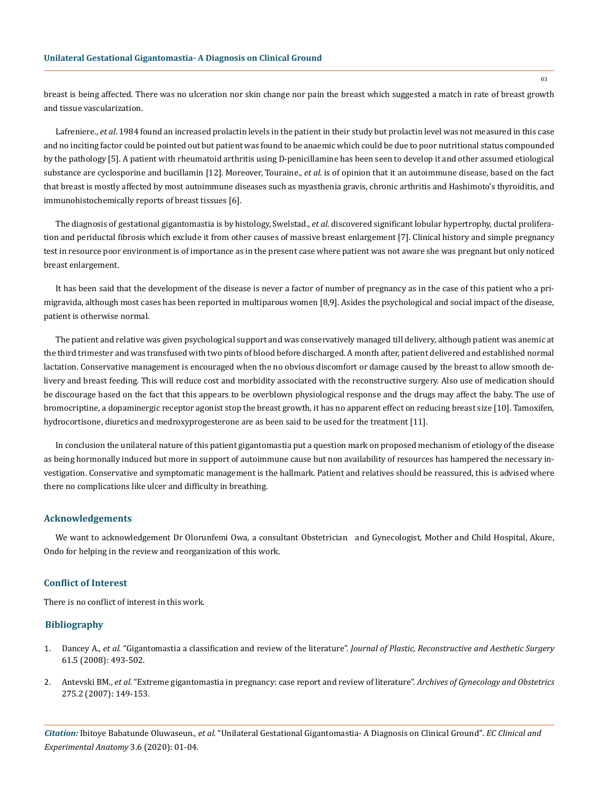breast is being affected. There was no ulceration nor skin change nor pain the breast which suggested a match in rate of breast growth and tissue vascularization.

Lafreniere., *et al*. 1984 found an increased prolactin levels in the patient in their study but prolactin level was not measured in this case and no inciting factor could be pointed out but patient was found to be anaemic which could be due to poor nutritional status compounded by the pathology [5]. A patient with rheumatoid arthritis using D-penicillamine has been seen to develop it and other assumed etiological substance are cyclosporine and bucillamin [12]. Moreover, Touraine., *et al.* is of opinion that it an autoimmune disease, based on the fact that breast is mostly affected by most autoimmune diseases such as myasthenia gravis, chronic arthritis and Hashimoto's thyroiditis, and immunohistochemically reports of breast tissues [6].

The diagnosis of gestational gigantomastia is by histology, Swelstad., *et al*. discovered significant lobular hypertrophy, ductal proliferation and periductal fibrosis which exclude it from other causes of massive breast enlargement [7]. Clinical history and simple pregnancy test in resource poor environment is of importance as in the present case where patient was not aware she was pregnant but only noticed breast enlargement.

It has been said that the development of the disease is never a factor of number of pregnancy as in the case of this patient who a primigravida, although most cases has been reported in multiparous women [8,9]. Asides the psychological and social impact of the disease, patient is otherwise normal.

The patient and relative was given psychological support and was conservatively managed till delivery, although patient was anemic at the third trimester and was transfused with two pints of blood before discharged. A month after, patient delivered and established normal lactation. Conservative management is encouraged when the no obvious discomfort or damage caused by the breast to allow smooth delivery and breast feeding. This will reduce cost and morbidity associated with the reconstructive surgery. Also use of medication should be discourage based on the fact that this appears to be overblown physiological response and the drugs may affect the baby. The use of bromocriptine, a dopaminergic receptor agonist stop the breast growth, it has no apparent effect on reducing breast size [10]. Tamoxifen, hydrocortisone, diuretics and medroxyprogesterone are as been said to be used for the treatment [11].

In conclusion the unilateral nature of this patient gigantomastia put a question mark on proposed mechanism of etiology of the disease as being hormonally induced but more in support of autoimmune cause but non availability of resources has hampered the necessary investigation. Conservative and symptomatic management is the hallmark. Patient and relatives should be reassured, this is advised where there no complications like ulcer and difficulty in breathing.

#### **Acknowledgements**

We want to acknowledgement Dr Olorunfemi Owa, a consultant Obstetrician and Gynecologist, Mother and Child Hospital, Akure, Ondo for helping in the review and reorganization of this work.

#### **Conflict of Interest**

There is no conflict of interest in this work.

#### **Bibliography**

- 1. Dancey A., *et al*. "Gigantomastia a classification and review of the literature". *[Journal of Plastic, Reconstructive and Aesthetic Surgery](https://www.ncbi.nlm.nih.gov/pubmed/18054304)*  [61.5 \(2008\): 493-502.](https://www.ncbi.nlm.nih.gov/pubmed/18054304)
- 2. Antevski BM., *et al*[. "Extreme gigantomastia in pregnancy: case report and review of literature".](https://www.ncbi.nlm.nih.gov/pubmed/16770587) *Archives of Gynecology and Obstetrics*  [275.2 \(2007\): 149-153.](https://www.ncbi.nlm.nih.gov/pubmed/16770587)

*Citation:* Ibitoye Babatunde Oluwaseun*., et al.* "Unilateral Gestational Gigantomastia- A Diagnosis on Clinical Ground". *EC Clinical and Experimental Anatomy* 3.6 (2020): 01-04.

03